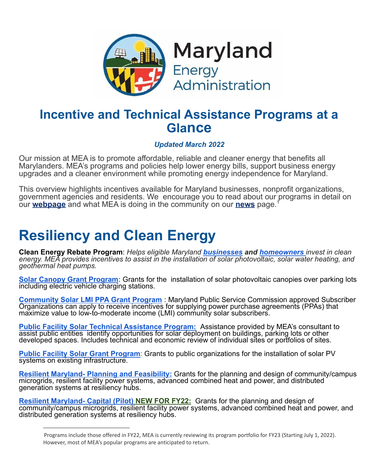

### **Incentive and Technical Assistance Programs at a Glance**

#### *Updated March 2022*

Our mission at MEA is to promote affordable, reliable and cleaner energy that benefits all Marylanders. MEA's programs and policies help lower energy bills, support business energy upgrades and a cleaner environment while promoting energy independence for Maryland.

This overview highlights incentives available for Maryland businesses, nonprofit organizations, government agencies and residents. We encourage you to read about our programs in detail on our **[webpage](https://energy.maryland.gov/Pages/default.aspx)** and what MEA is doing in the community on our **[news](http://news.maryland.gov/mea/)** page. 1

# **Resiliency and Clean Energy**

**Clean Energy Rebate Program**: *Helps eligible Maryland [businesses](https://energy.maryland.gov/business/Pages/incentives/cleanenergygrants.aspx) and [homeowners](https://energy.maryland.gov/residential/Pages/incentives/CleanEnergyGrants.aspx) invest in clean energy. MEA provides incentives to assist in the installation of solar photovoltaic, solar water heating, and geothermal heat pumps.*

**[Solar Canopy Grant Program:](https://energy.maryland.gov/business/Pages/incentives/PVEVprogram.aspx)** Grants for the installation of solar photovoltaic canopies over parking lots including electric vehicle charging stations.

**[Community Solar LMI PPA Grant Program](https://energy.maryland.gov/residential/Pages/CommunitySolarLMI-PPA.aspx)** : Maryland Public Service Commission approved Subscriber Organizations can apply to receive incentives for supplying power purchase agreements (PPAs) that maximize value to low-to-moderate income (LMI) community solar subscribers.

**[Public Facility Solar Technical Assistance Program:](https://energy.maryland.gov/govt/Pages/SolarTechnicalAssistanceProgram.aspx)** Assistance provided by MEA's consultant to assist public entities identify opportunities for solar deployment on buildings, parking lots or other developed spaces. Includes technical and economic review of individual sites or portfolios of sites.

**[Public Facility Solar Grant Program](https://energy.maryland.gov/govt/Pages/PublicFacilitySolarGrantProgram.aspx)**: Grants to public organizations for the installation of solar PV systems on existing infrastructure.

**[Resilient Maryland- Planning and Feasibility:](https://energy.maryland.gov/business/pages/ResilientMaryland.aspx)** Grants for the planning and design of community/campus microgrids, resilient facility power systems, advanced combined heat and power, and distributed generation systems at resiliency hubs.

**[Resilient Maryland- Capital \(Pilot\)](https://energy.maryland.gov/business/pages/ResilientMaryland.aspx) NEW FOR FY22:** Grants for the planning and design of community/campus microgrids, resilient facility power systems, advanced combined heat and power, and distributed generation systems at resiliency hubs.

<sup>1</sup>Programs include those offered in FY22, MEA is currently reviewing its program portfolio for FY23 (Starting July 1, 2022). However, most of MEA's popular programs are anticipated to return.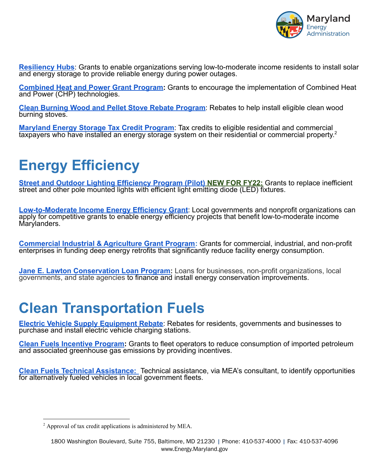

**[Resiliency Hubs](https://energy.maryland.gov/Pages/Resiliency-Hub.aspx)**: Grants to enable organizations serving low-to-moderate income residents to install solar and energy storage to provide reliable energy during power outages.

**[Combined Heat and Power Grant Program:](https://energy.maryland.gov/business/Pages/MEACHP.aspx)** Grants to encourage the implementation of Combined Heat and Power (CHP) technologies.

**[Clean Burning Wood and Pellet Stove Rebate Program](https://energy.maryland.gov/residential/Pages/incentives/woodstoves.aspx)**: Rebates to help install eligible clean wood burning stoves.

**[Maryland Energy Storage Tax Credit Program](https://energy.maryland.gov/business/Pages/EnergyStorage.aspx)**: Tax credits to eligible residential and commercial taxpayers who have installed an energy storage system on their residential or commercial property.<sup>2</sup>

# **Energy Efficiency**

**[Street and Outdoor Lighting Efficiency Program \(Pilot\)](https://energy.maryland.gov/Pages/SOLE.aspx) NEW FOR FY22:** Grants to replace inefficient street and other pole mounted lights with efficient light emitting diode (LED) fixtures.

**[Low-to-Moderate Income Energy Efficiency Grant](https://energy.maryland.gov/govt/Pages/CleanEnergyLMI.aspx)**: Local governments and nonprofit organizations can apply for competitive grants to enable energy efficiency projects that benefit low-to-moderate income Marylanders.

**[Commercial Industrial & Agriculture Grant Program:](https://energy.maryland.gov/business/Pages/incentives/empowermdcigp.aspx)** Grants for commercial, industrial, and non-profit enterprises in funding deep energy retrofits that significantly reduce facility energy consumption.

**[Jane E. Lawton Conservation Loan Program:](https://energy.maryland.gov/govt/Pages/janeelawton.aspx)** Loans for businesses, non-profit organizations, local governments, and state agencies to finance and install energy conservation improvements.

## **Clean Transportation Fuels**

**[Electric Vehicle Supply Equipment Rebate](https://energy.maryland.gov/transportation/Pages/incentives_evserebate.aspx)**: Rebates for residents, governments and businesses to purchase and install electric vehicle charging stations.

**[Clean Fuels Incentive Program:](https://energy.maryland.gov/transportation/Pages/Clean-Fuels-Incentive-Program.aspx)** Grants to fleet operators to reduce consumption of imported petroleum and associated greenhouse gas emissions by providing incentives.

**[Clean Fuels Technical Assistance:](https://energy.maryland.gov/transportation/Pages/Clean-Fuels-Technical-Assistance-(CFTA)-Program.aspx#:~:text=The%20State%20Fiscal%20Year%202021,for%20their%20on%2Droad%20fleet.)** Technical assistance, via MEA's consultant, to identify opportunities for alternatively fueled vehicles in local government fleets.

<sup>2</sup> Approval of tax credit applications is administered by MEA.